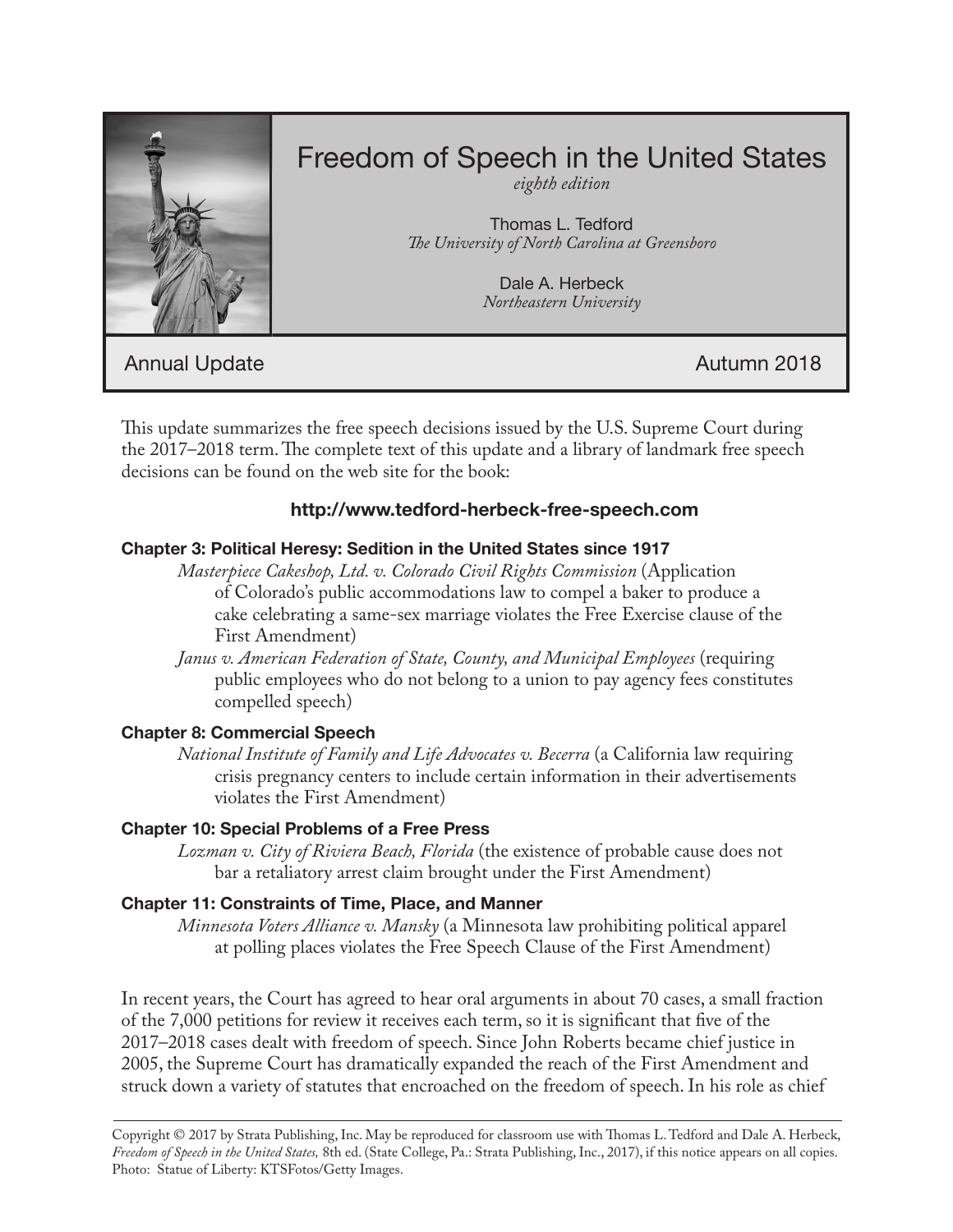

# Freedom of Speech in the United States

*eighth edition*

Thomas L. Tedford *The University of North Carolina at Greensboro*

> Dale A. Herbeck *Northeastern University*

Annual Update **Autumn 2018** 

This update summarizes the free speech decisions issued by the U.S. Supreme Court during the 2017–2018 term. The complete text of this update and a library of landmark free speech decisions can be found on the web site for the book:

## **http://www.tedford-herbeck-free-speech.com**

## **Chapter 3: Political Heresy: Sedition in the United States since 1917**

*Masterpiece Cakeshop, Ltd. v. Colorado Civil Rights Commission* (Application of Colorado's public accommodations law to compel a baker to produce a cake celebrating a same-sex marriage violates the Free Exercise clause of the First Amendment)

*Janus v. American Federation of State, County, and Municipal Employees* (requiring public employees who do not belong to a union to pay agency fees constitutes compelled speech)

## **Chapter 8: Commercial Speech**

*National Institute of Family and Life Advocates v. Becerra* (a California law requiring crisis pregnancy centers to include certain information in their advertisements violates the First Amendment)

## **Chapter 10: Special Problems of a Free Press**

*Lozman v. City of Riviera Beach, Florida* (the existence of probable cause does not bar a retaliatory arrest claim brought under the First Amendment)

## **Chapter 11: Constraints of Time, Place, and Manner**

*Minnesota Voters Alliance v. Mansky* (a Minnesota law prohibiting political apparel at polling places violates the Free Speech Clause of the First Amendment)

In recent years, the Court has agreed to hear oral arguments in about 70 cases, a small fraction of the 7,000 petitions for review it receives each term, so it is significant that five of the 2017–2018 cases dealt with freedom of speech. Since John Roberts became chief justice in 2005, the Supreme Court has dramatically expanded the reach of the First Amendment and struck down a variety of statutes that encroached on the freedom of speech. In his role as chief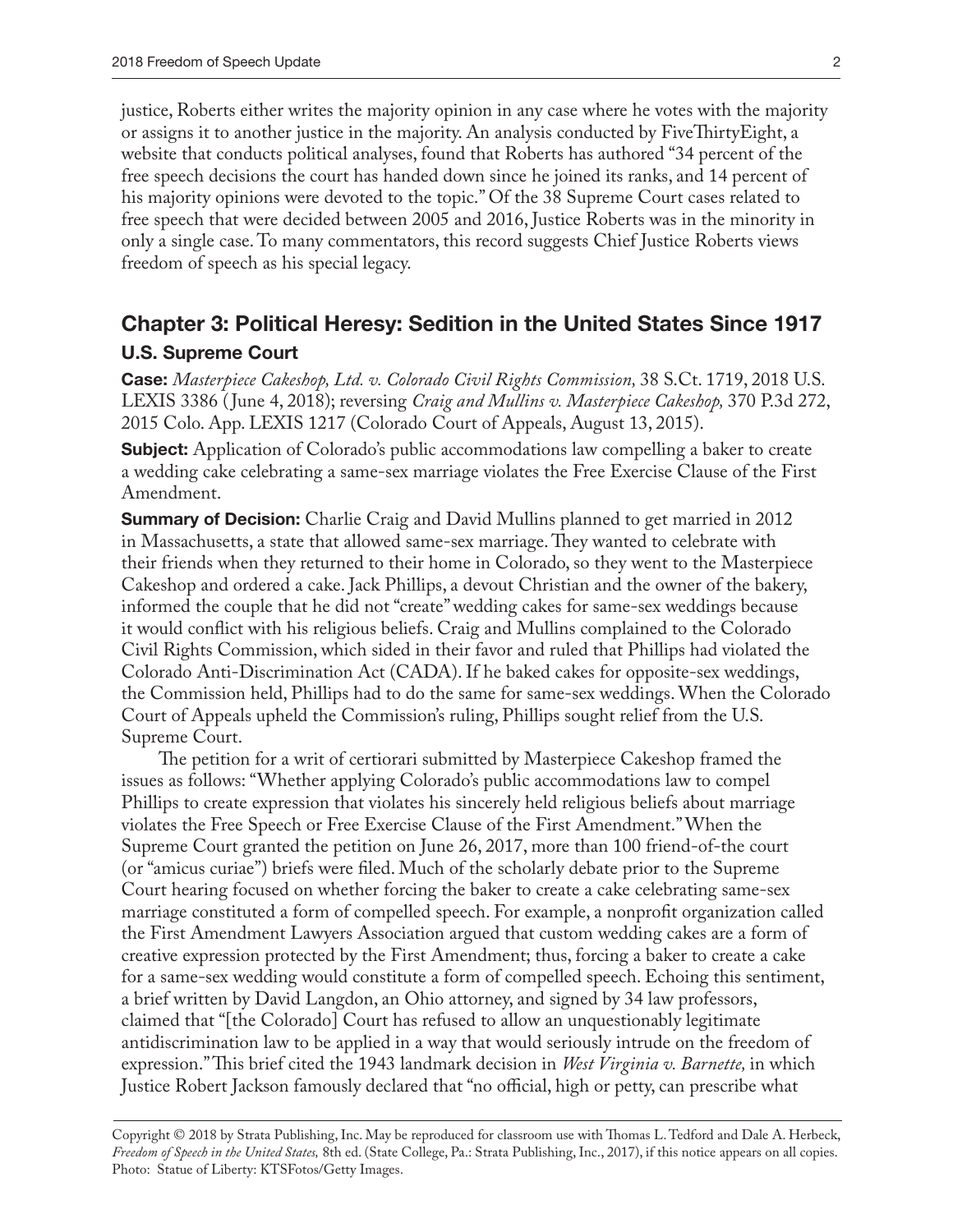justice, Roberts either writes the majority opinion in any case where he votes with the majority or assigns it to another justice in the majority. An analysis conducted by FiveThirtyEight, a website that conducts political analyses, found that Roberts has authored "34 percent of the free speech decisions the court has handed down since he joined its ranks, and 14 percent of his majority opinions were devoted to the topic." Of the 38 Supreme Court cases related to free speech that were decided between 2005 and 2016, Justice Roberts was in the minority in only a single case. To many commentators, this record suggests Chief Justice Roberts views freedom of speech as his special legacy.

## **Chapter 3: Political Heresy: Sedition in the United States Since 1917 U.S. Supreme Court**

**Case:** *Masterpiece Cakeshop, Ltd. v. Colorado Civil Rights Commission,* 38 S.Ct. 1719, 2018 U.S. LEXIS 3386 ( June 4, 2018); reversing *Craig and Mullins v. Masterpiece Cakeshop,* 370 P.3d 272, 2015 Colo. App. LEXIS 1217 (Colorado Court of Appeals, August 13, 2015).

**Subject:** Application of Colorado's public accommodations law compelling a baker to create a wedding cake celebrating a same-sex marriage violates the Free Exercise Clause of the First Amendment.

**Summary of Decision:** Charlie Craig and David Mullins planned to get married in 2012 in Massachusetts, a state that allowed same-sex marriage. They wanted to celebrate with their friends when they returned to their home in Colorado, so they went to the Masterpiece Cakeshop and ordered a cake. Jack Phillips, a devout Christian and the owner of the bakery, informed the couple that he did not "create" wedding cakes for same-sex weddings because it would conflict with his religious beliefs. Craig and Mullins complained to the Colorado Civil Rights Commission, which sided in their favor and ruled that Phillips had violated the Colorado Anti-Discrimination Act (CADA). If he baked cakes for opposite-sex weddings, the Commission held, Phillips had to do the same for same-sex weddings. When the Colorado Court of Appeals upheld the Commission's ruling, Phillips sought relief from the U.S. Supreme Court.

The petition for a writ of certiorari submitted by Masterpiece Cakeshop framed the issues as follows: "Whether applying Colorado's public accommodations law to compel Phillips to create expression that violates his sincerely held religious beliefs about marriage violates the Free Speech or Free Exercise Clause of the First Amendment." When the Supreme Court granted the petition on June 26, 2017, more than 100 friend-of-the court (or "amicus curiae") briefs were filed. Much of the scholarly debate prior to the Supreme Court hearing focused on whether forcing the baker to create a cake celebrating same-sex marriage constituted a form of compelled speech. For example, a nonprofit organization called the First Amendment Lawyers Association argued that custom wedding cakes are a form of creative expression protected by the First Amendment; thus, forcing a baker to create a cake for a same-sex wedding would constitute a form of compelled speech. Echoing this sentiment, a brief written by David Langdon, an Ohio attorney, and signed by 34 law professors, claimed that "[the Colorado] Court has refused to allow an unquestionably legitimate antidiscrimination law to be applied in a way that would seriously intrude on the freedom of expression." This brief cited the 1943 landmark decision in *West Virginia v. Barnette,* in which Justice Robert Jackson famously declared that "no official, high or petty, can prescribe what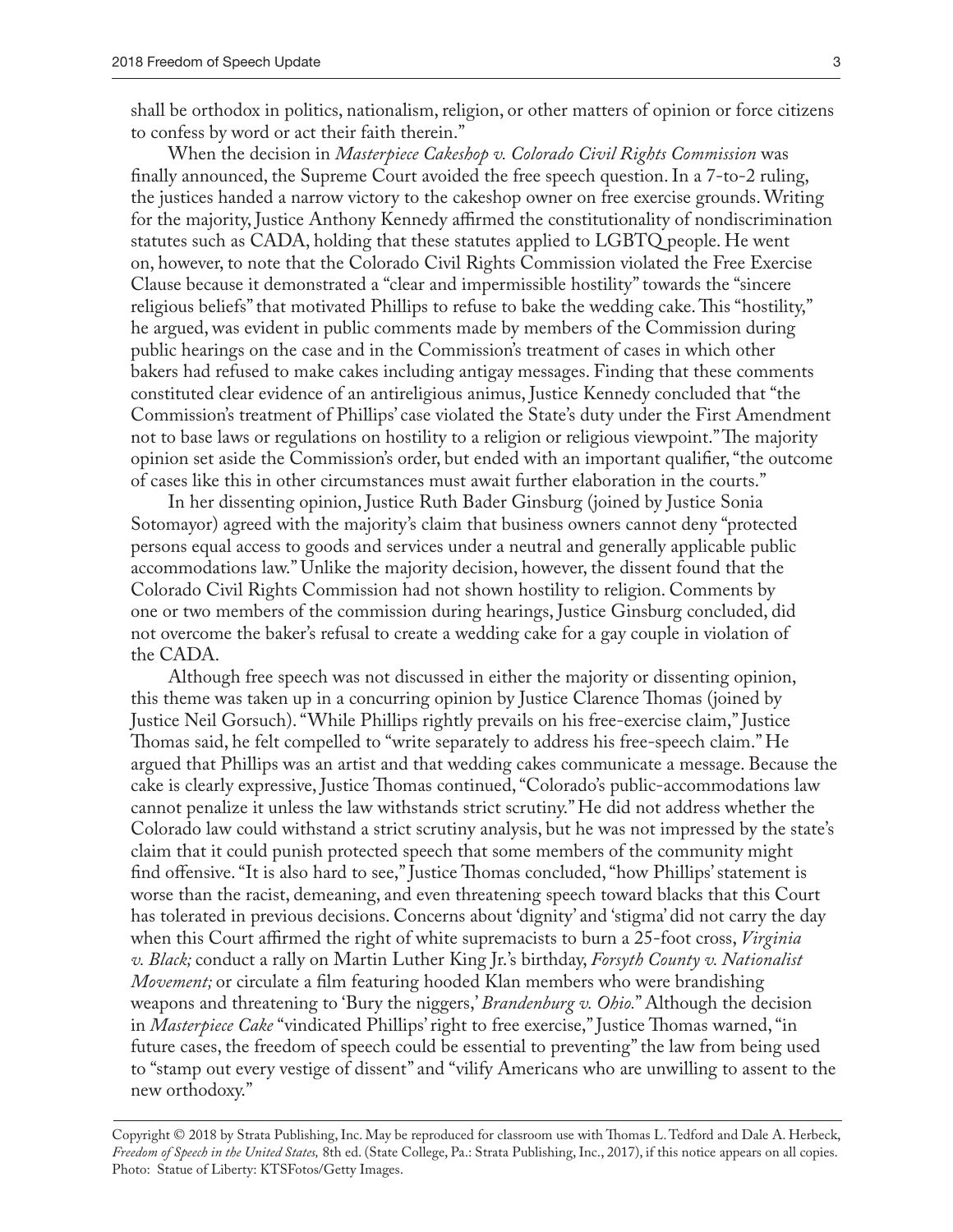shall be orthodox in politics, nationalism, religion, or other matters of opinion or force citizens to confess by word or act their faith therein."

When the decision in *Masterpiece Cakeshop v. Colorado Civil Rights Commission* was finally announced, the Supreme Court avoided the free speech question. In a 7-to-2 ruling, the justices handed a narrow victory to the cakeshop owner on free exercise grounds. Writing for the majority, Justice Anthony Kennedy affirmed the constitutionality of nondiscrimination statutes such as CADA, holding that these statutes applied to LGBTQ people. He went on, however, to note that the Colorado Civil Rights Commission violated the Free Exercise Clause because it demonstrated a "clear and impermissible hostility" towards the "sincere religious beliefs" that motivated Phillips to refuse to bake the wedding cake. This "hostility," he argued, was evident in public comments made by members of the Commission during public hearings on the case and in the Commission's treatment of cases in which other bakers had refused to make cakes including antigay messages. Finding that these comments constituted clear evidence of an antireligious animus, Justice Kennedy concluded that "the Commission's treatment of Phillips' case violated the State's duty under the First Amendment not to base laws or regulations on hostility to a religion or religious viewpoint." The majority opinion set aside the Commission's order, but ended with an important qualifier, "the outcome of cases like this in other circumstances must await further elaboration in the courts."

In her dissenting opinion, Justice Ruth Bader Ginsburg (joined by Justice Sonia Sotomayor) agreed with the majority's claim that business owners cannot deny "protected persons equal access to goods and services under a neutral and generally applicable public accommodations law." Unlike the majority decision, however, the dissent found that the Colorado Civil Rights Commission had not shown hostility to religion. Comments by one or two members of the commission during hearings, Justice Ginsburg concluded, did not overcome the baker's refusal to create a wedding cake for a gay couple in violation of the CADA.

Although free speech was not discussed in either the majority or dissenting opinion, this theme was taken up in a concurring opinion by Justice Clarence Thomas (joined by Justice Neil Gorsuch). "While Phillips rightly prevails on his free-exercise claim," Justice Thomas said, he felt compelled to "write separately to address his free-speech claim." He argued that Phillips was an artist and that wedding cakes communicate a message. Because the cake is clearly expressive, Justice Thomas continued, "Colorado's public-accommodations law cannot penalize it unless the law withstands strict scrutiny." He did not address whether the Colorado law could withstand a strict scrutiny analysis, but he was not impressed by the state's claim that it could punish protected speech that some members of the community might find offensive. "It is also hard to see," Justice Thomas concluded, "how Phillips' statement is worse than the racist, demeaning, and even threatening speech toward blacks that this Court has tolerated in previous decisions. Concerns about 'dignity' and 'stigma' did not carry the day when this Court affirmed the right of white supremacists to burn a 25-foot cross, *Virginia v. Black;* conduct a rally on Martin Luther King Jr.'s birthday, *Forsyth County v. Nationalist Movement;* or circulate a film featuring hooded Klan members who were brandishing weapons and threatening to 'Bury the niggers,' *Brandenburg v. Ohio.*" Although the decision in *Masterpiece Cake* "vindicated Phillips' right to free exercise," Justice Thomas warned, "in future cases, the freedom of speech could be essential to preventing" the law from being used to "stamp out every vestige of dissent" and "vilify Americans who are unwilling to assent to the new orthodoxy."

Copyright © 2018 by Strata Publishing, Inc. May be reproduced for classroom use with Thomas L. Tedford and Dale A. Herbeck, *Freedom of Speech in the United States,* 8th ed. (State College, Pa.: Strata Publishing, Inc., 2017), if this notice appears on all copies. Photo: Statue of Liberty: KTSFotos/Getty Images.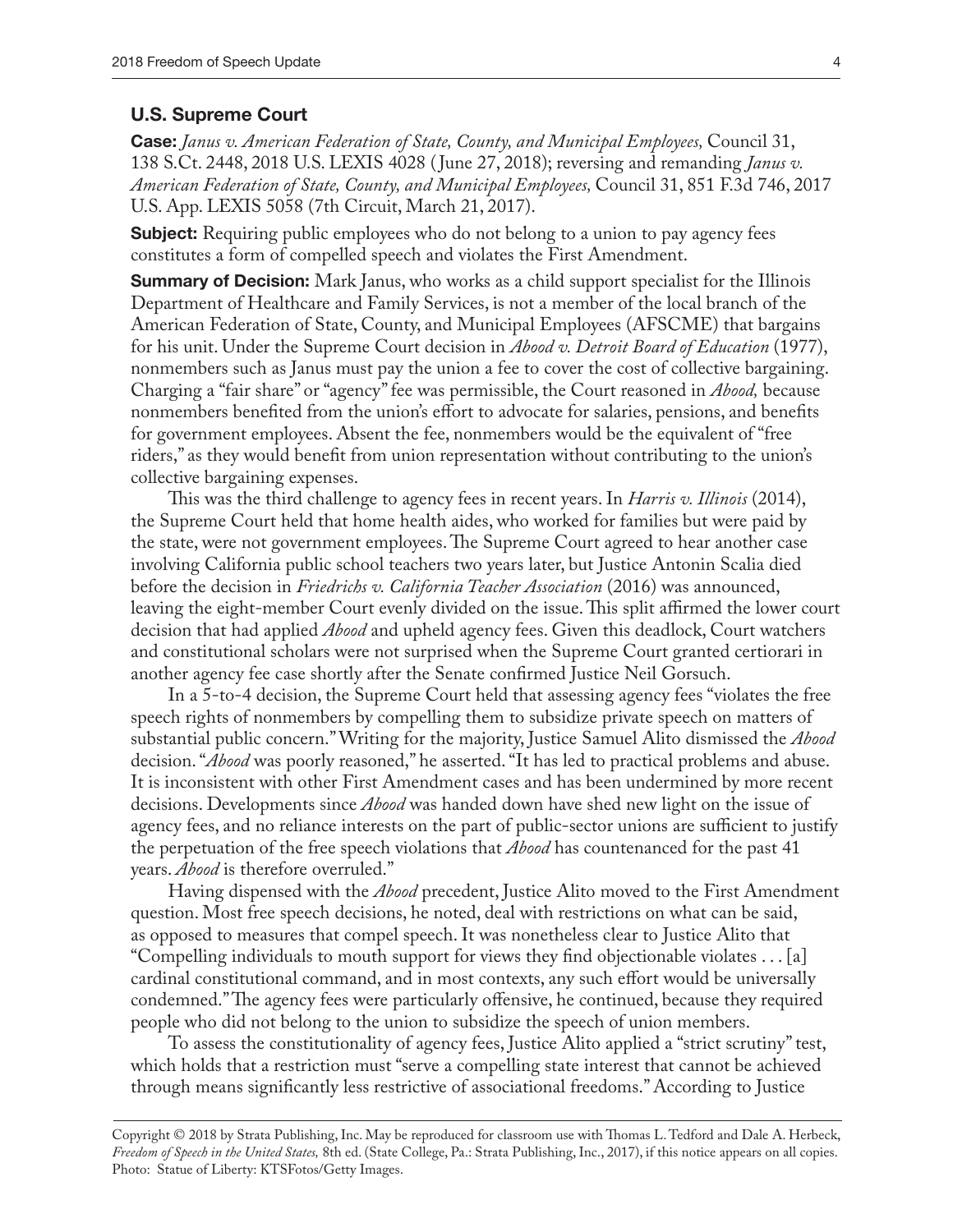#### **U.S. Supreme Court**

**Case:** *Janus v. American Federation of State, County, and Municipal Employees,* Council 31, 138 S.Ct. 2448, 2018 U.S. LEXIS 4028 ( June 27, 2018); reversing and remanding *Janus v. American Federation of State, County, and Municipal Employees,* Council 31, 851 F.3d 746, 2017 U.S. App. LEXIS 5058 (7th Circuit, March 21, 2017).

**Subject:** Requiring public employees who do not belong to a union to pay agency fees constitutes a form of compelled speech and violates the First Amendment.

**Summary of Decision:** Mark Janus, who works as a child support specialist for the Illinois Department of Healthcare and Family Services, is not a member of the local branch of the American Federation of State, County, and Municipal Employees (AFSCME) that bargains for his unit. Under the Supreme Court decision in *Abood v. Detroit Board of Education* (1977), nonmembers such as Janus must pay the union a fee to cover the cost of collective bargaining. Charging a "fair share" or "agency" fee was permissible, the Court reasoned in *Abood,* because nonmembers benefited from the union's effort to advocate for salaries, pensions, and benefits for government employees. Absent the fee, nonmembers would be the equivalent of "free riders," as they would benefit from union representation without contributing to the union's collective bargaining expenses.

This was the third challenge to agency fees in recent years. In *Harris v. Illinois* (2014), the Supreme Court held that home health aides, who worked for families but were paid by the state, were not government employees. The Supreme Court agreed to hear another case involving California public school teachers two years later, but Justice Antonin Scalia died before the decision in *Friedrichs v. California Teacher Association* (2016) was announced, leaving the eight-member Court evenly divided on the issue. This split affirmed the lower court decision that had applied *Abood* and upheld agency fees. Given this deadlock, Court watchers and constitutional scholars were not surprised when the Supreme Court granted certiorari in another agency fee case shortly after the Senate confirmed Justice Neil Gorsuch.

In a 5-to-4 decision, the Supreme Court held that assessing agency fees "violates the free speech rights of nonmembers by compelling them to subsidize private speech on matters of substantial public concern." Writing for the majority, Justice Samuel Alito dismissed the *Abood* decision. "*Abood* was poorly reasoned," he asserted. "It has led to practical problems and abuse. It is inconsistent with other First Amendment cases and has been undermined by more recent decisions. Developments since *Abood* was handed down have shed new light on the issue of agency fees, and no reliance interests on the part of public-sector unions are sufficient to justify the perpetuation of the free speech violations that *Abood* has countenanced for the past 41 years. *Abood* is therefore overruled."

Having dispensed with the *Abood* precedent, Justice Alito moved to the First Amendment question. Most free speech decisions, he noted, deal with restrictions on what can be said, as opposed to measures that compel speech. It was nonetheless clear to Justice Alito that "Compelling individuals to mouth support for views they find objectionable violates . . . [a] cardinal constitutional command, and in most contexts, any such effort would be universally condemned." The agency fees were particularly offensive, he continued, because they required people who did not belong to the union to subsidize the speech of union members.

To assess the constitutionality of agency fees, Justice Alito applied a "strict scrutiny" test, which holds that a restriction must "serve a compelling state interest that cannot be achieved through means significantly less restrictive of associational freedoms." According to Justice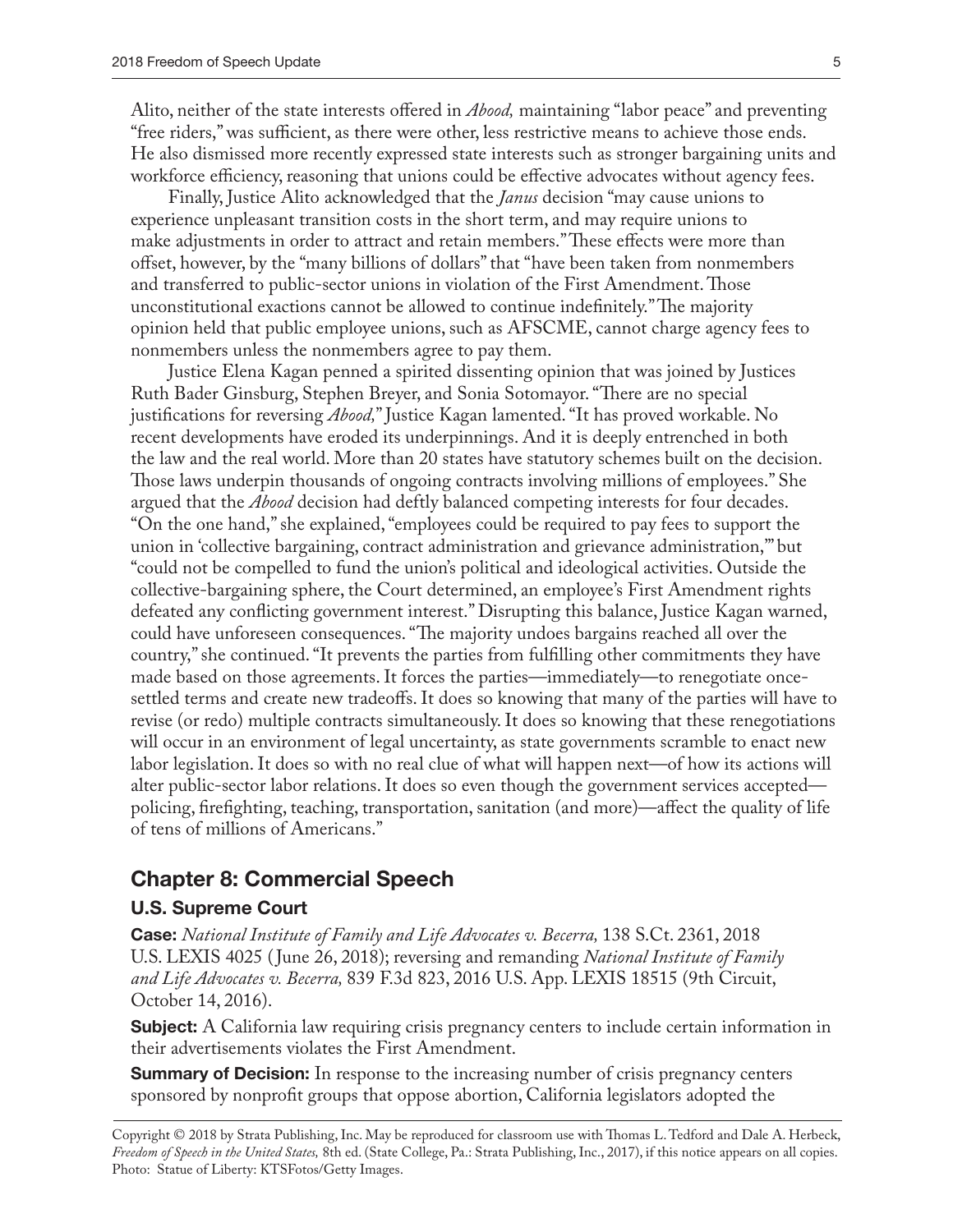Alito, neither of the state interests offered in *Abood,* maintaining "labor peace" and preventing "free riders," was sufficient, as there were other, less restrictive means to achieve those ends. He also dismissed more recently expressed state interests such as stronger bargaining units and workforce efficiency, reasoning that unions could be effective advocates without agency fees.

Finally, Justice Alito acknowledged that the *Janus* decision "may cause unions to experience unpleasant transition costs in the short term, and may require unions to make adjustments in order to attract and retain members." These effects were more than offset, however, by the "many billions of dollars" that "have been taken from nonmembers and transferred to public-sector unions in violation of the First Amendment. Those unconstitutional exactions cannot be allowed to continue indefinitely." The majority opinion held that public employee unions, such as AFSCME, cannot charge agency fees to nonmembers unless the nonmembers agree to pay them.

Justice Elena Kagan penned a spirited dissenting opinion that was joined by Justices Ruth Bader Ginsburg, Stephen Breyer, and Sonia Sotomayor. "There are no special justifications for reversing *Abood,*" Justice Kagan lamented. "It has proved workable. No recent developments have eroded its underpinnings. And it is deeply entrenched in both the law and the real world. More than 20 states have statutory schemes built on the decision. Those laws underpin thousands of ongoing contracts involving millions of employees." She argued that the *Abood* decision had deftly balanced competing interests for four decades. "On the one hand," she explained, "employees could be required to pay fees to support the union in 'collective bargaining, contract administration and grievance administration,'" but "could not be compelled to fund the union's political and ideological activities. Outside the collective-bargaining sphere, the Court determined, an employee's First Amendment rights defeated any conflicting government interest." Disrupting this balance, Justice Kagan warned, could have unforeseen consequences. "The majority undoes bargains reached all over the country," she continued. "It prevents the parties from fulfilling other commitments they have made based on those agreements. It forces the parties—immediately—to renegotiate oncesettled terms and create new tradeoffs. It does so knowing that many of the parties will have to revise (or redo) multiple contracts simultaneously. It does so knowing that these renegotiations will occur in an environment of legal uncertainty, as state governments scramble to enact new labor legislation. It does so with no real clue of what will happen next—of how its actions will alter public-sector labor relations. It does so even though the government services accepted policing, firefighting, teaching, transportation, sanitation (and more)—affect the quality of life of tens of millions of Americans."

## **Chapter 8: Commercial Speech**

#### **U.S. Supreme Court**

**Case:** *National Institute of Family and Life Advocates v. Becerra,* 138 S.Ct. 2361, 2018 U.S. LEXIS 4025 ( June 26, 2018); reversing and remanding *National Institute of Family and Life Advocates v. Becerra,* 839 F.3d 823, 2016 U.S. App. LEXIS 18515 (9th Circuit, October 14, 2016).

**Subject:** A California law requiring crisis pregnancy centers to include certain information in their advertisements violates the First Amendment.

**Summary of Decision:** In response to the increasing number of crisis pregnancy centers sponsored by nonprofit groups that oppose abortion, California legislators adopted the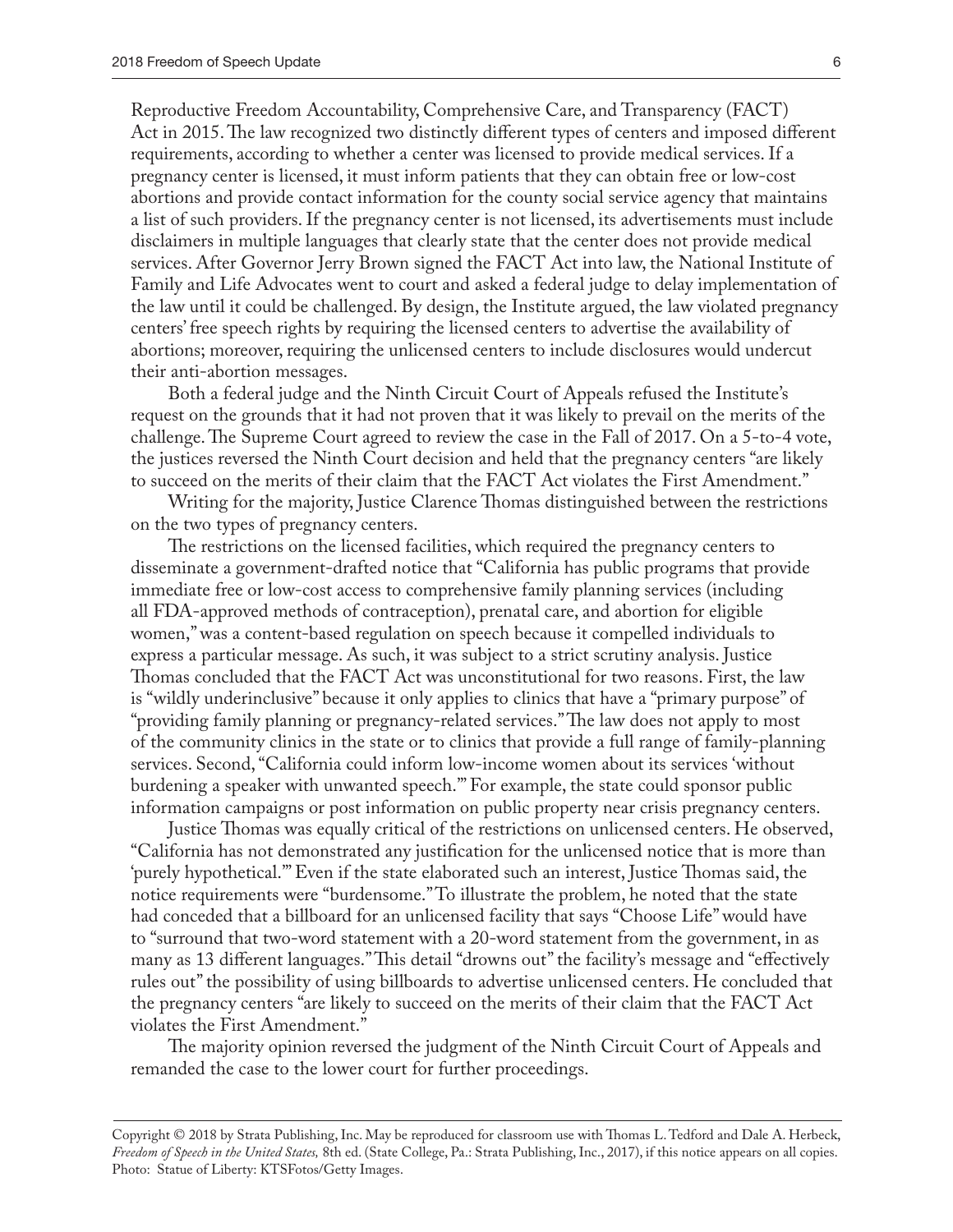Reproductive Freedom Accountability, Comprehensive Care, and Transparency (FACT) Act in 2015. The law recognized two distinctly different types of centers and imposed different requirements, according to whether a center was licensed to provide medical services. If a pregnancy center is licensed, it must inform patients that they can obtain free or low-cost abortions and provide contact information for the county social service agency that maintains a list of such providers. If the pregnancy center is not licensed, its advertisements must include disclaimers in multiple languages that clearly state that the center does not provide medical services. After Governor Jerry Brown signed the FACT Act into law, the National Institute of Family and Life Advocates went to court and asked a federal judge to delay implementation of the law until it could be challenged. By design, the Institute argued, the law violated pregnancy centers' free speech rights by requiring the licensed centers to advertise the availability of abortions; moreover, requiring the unlicensed centers to include disclosures would undercut their anti-abortion messages.

Both a federal judge and the Ninth Circuit Court of Appeals refused the Institute's request on the grounds that it had not proven that it was likely to prevail on the merits of the challenge. The Supreme Court agreed to review the case in the Fall of 2017. On a 5-to-4 vote, the justices reversed the Ninth Court decision and held that the pregnancy centers "are likely to succeed on the merits of their claim that the FACT Act violates the First Amendment."

Writing for the majority, Justice Clarence Thomas distinguished between the restrictions on the two types of pregnancy centers.

The restrictions on the licensed facilities, which required the pregnancy centers to disseminate a government-drafted notice that "California has public programs that provide immediate free or low-cost access to comprehensive family planning services (including all FDA-approved methods of contraception), prenatal care, and abortion for eligible women," was a content-based regulation on speech because it compelled individuals to express a particular message. As such, it was subject to a strict scrutiny analysis. Justice Thomas concluded that the FACT Act was unconstitutional for two reasons. First, the law is "wildly underinclusive" because it only applies to clinics that have a "primary purpose" of "providing family planning or pregnancy-related services." The law does not apply to most of the community clinics in the state or to clinics that provide a full range of family-planning services. Second, "California could inform low-income women about its services 'without burdening a speaker with unwanted speech.'" For example, the state could sponsor public information campaigns or post information on public property near crisis pregnancy centers.

Justice Thomas was equally critical of the restrictions on unlicensed centers. He observed, "California has not demonstrated any justification for the unlicensed notice that is more than 'purely hypothetical.'" Even if the state elaborated such an interest, Justice Thomas said, the notice requirements were "burdensome." To illustrate the problem, he noted that the state had conceded that a billboard for an unlicensed facility that says "Choose Life" would have to "surround that two-word statement with a 20-word statement from the government, in as many as 13 different languages." This detail "drowns out" the facility's message and "effectively rules out" the possibility of using billboards to advertise unlicensed centers. He concluded that the pregnancy centers "are likely to succeed on the merits of their claim that the FACT Act violates the First Amendment."

The majority opinion reversed the judgment of the Ninth Circuit Court of Appeals and remanded the case to the lower court for further proceedings.

Copyright © 2018 by Strata Publishing, Inc. May be reproduced for classroom use with Thomas L. Tedford and Dale A. Herbeck, *Freedom of Speech in the United States,* 8th ed. (State College, Pa.: Strata Publishing, Inc., 2017), if this notice appears on all copies. Photo: Statue of Liberty: KTSFotos/Getty Images.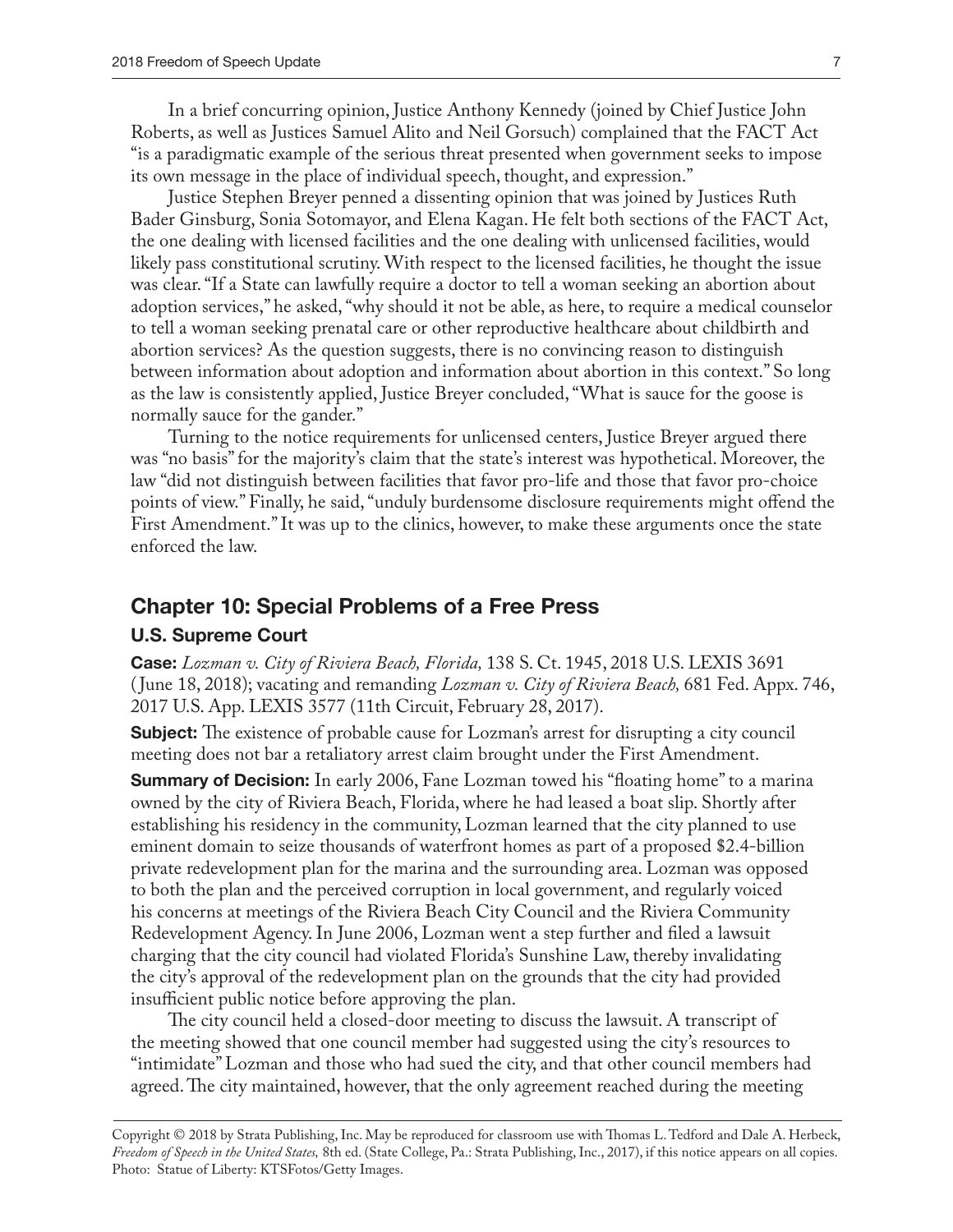In a brief concurring opinion, Justice Anthony Kennedy (joined by Chief Justice John Roberts, as well as Justices Samuel Alito and Neil Gorsuch) complained that the FACT Act "is a paradigmatic example of the serious threat presented when government seeks to impose its own message in the place of individual speech, thought, and expression."

Justice Stephen Breyer penned a dissenting opinion that was joined by Justices Ruth Bader Ginsburg, Sonia Sotomayor, and Elena Kagan. He felt both sections of the FACT Act, the one dealing with licensed facilities and the one dealing with unlicensed facilities, would likely pass constitutional scrutiny. With respect to the licensed facilities, he thought the issue was clear. "If a State can lawfully require a doctor to tell a woman seeking an abortion about adoption services," he asked, "why should it not be able, as here, to require a medical counselor to tell a woman seeking prenatal care or other reproductive healthcare about childbirth and abortion services? As the question suggests, there is no convincing reason to distinguish between information about adoption and information about abortion in this context." So long as the law is consistently applied, Justice Breyer concluded, "What is sauce for the goose is normally sauce for the gander."

Turning to the notice requirements for unlicensed centers, Justice Breyer argued there was "no basis" for the majority's claim that the state's interest was hypothetical. Moreover, the law "did not distinguish between facilities that favor pro-life and those that favor pro-choice points of view." Finally, he said, "unduly burdensome disclosure requirements might offend the First Amendment." It was up to the clinics, however, to make these arguments once the state enforced the law.

#### **Chapter 10: Special Problems of a Free Press**

#### **U.S. Supreme Court**

**Case:** *Lozman v. City of Riviera Beach, Florida,* 138 S. Ct. 1945, 2018 U.S. LEXIS 3691 ( June 18, 2018); vacating and remanding *Lozman v. City of Riviera Beach,* 681 Fed. Appx. 746, 2017 U.S. App. LEXIS 3577 (11th Circuit, February 28, 2017).

**Subject:** The existence of probable cause for Lozman's arrest for disrupting a city council meeting does not bar a retaliatory arrest claim brought under the First Amendment.

**Summary of Decision:** In early 2006, Fane Lozman towed his "floating home" to a marina owned by the city of Riviera Beach, Florida, where he had leased a boat slip. Shortly after establishing his residency in the community, Lozman learned that the city planned to use eminent domain to seize thousands of waterfront homes as part of a proposed \$2.4-billion private redevelopment plan for the marina and the surrounding area. Lozman was opposed to both the plan and the perceived corruption in local government, and regularly voiced his concerns at meetings of the Riviera Beach City Council and the Riviera Community Redevelopment Agency. In June 2006, Lozman went a step further and filed a lawsuit charging that the city council had violated Florida's Sunshine Law, thereby invalidating the city's approval of the redevelopment plan on the grounds that the city had provided insufficient public notice before approving the plan.

The city council held a closed-door meeting to discuss the lawsuit. A transcript of the meeting showed that one council member had suggested using the city's resources to "intimidate" Lozman and those who had sued the city, and that other council members had agreed. The city maintained, however, that the only agreement reached during the meeting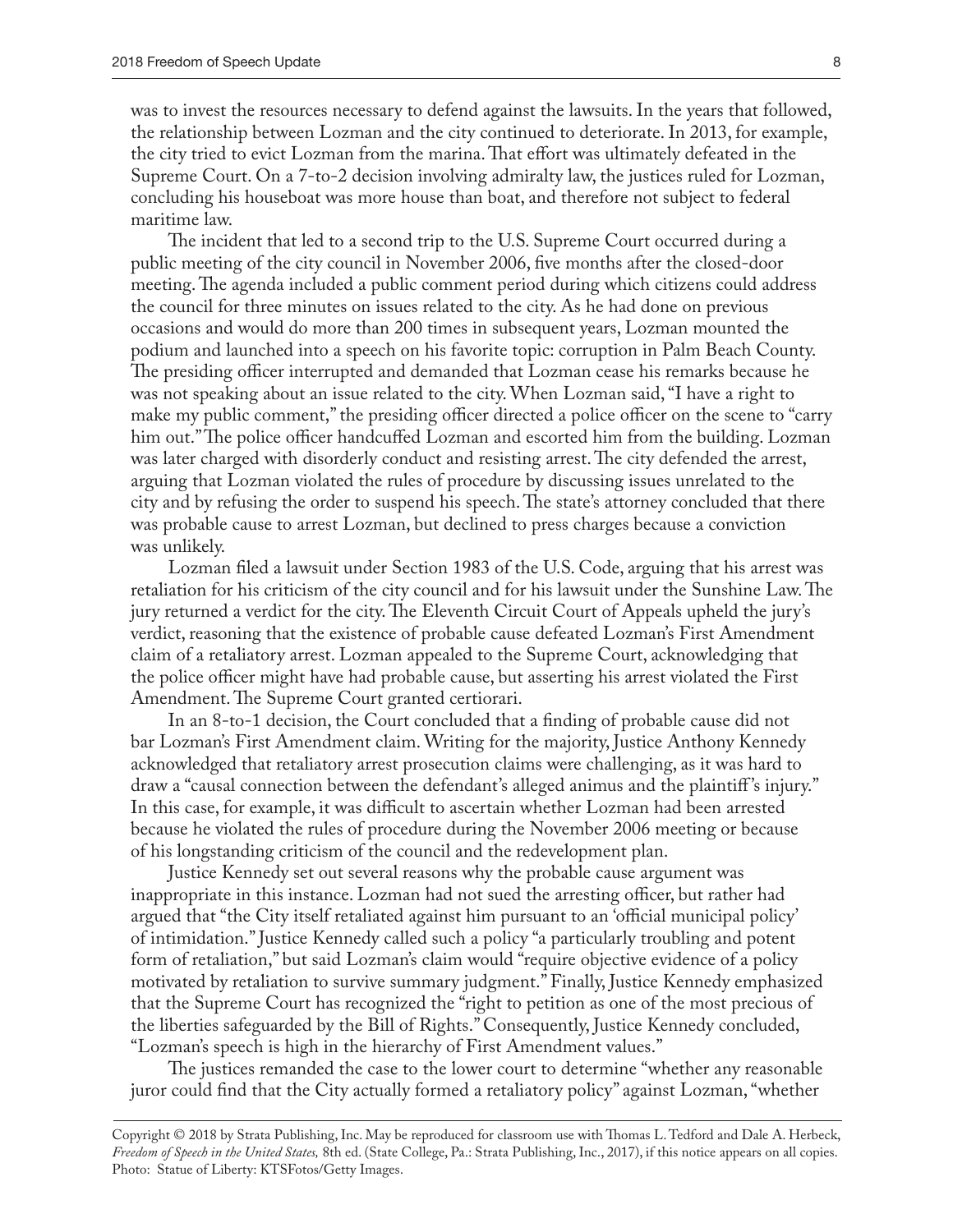was to invest the resources necessary to defend against the lawsuits. In the years that followed, the relationship between Lozman and the city continued to deteriorate. In 2013, for example, the city tried to evict Lozman from the marina. That effort was ultimately defeated in the Supreme Court. On a 7-to-2 decision involving admiralty law, the justices ruled for Lozman, concluding his houseboat was more house than boat, and therefore not subject to federal maritime law.

The incident that led to a second trip to the U.S. Supreme Court occurred during a public meeting of the city council in November 2006, five months after the closed-door meeting. The agenda included a public comment period during which citizens could address the council for three minutes on issues related to the city. As he had done on previous occasions and would do more than 200 times in subsequent years, Lozman mounted the podium and launched into a speech on his favorite topic: corruption in Palm Beach County. The presiding officer interrupted and demanded that Lozman cease his remarks because he was not speaking about an issue related to the city. When Lozman said, "I have a right to make my public comment," the presiding officer directed a police officer on the scene to "carry him out." The police officer handcuffed Lozman and escorted him from the building. Lozman was later charged with disorderly conduct and resisting arrest. The city defended the arrest, arguing that Lozman violated the rules of procedure by discussing issues unrelated to the city and by refusing the order to suspend his speech. The state's attorney concluded that there was probable cause to arrest Lozman, but declined to press charges because a conviction was unlikely.

Lozman filed a lawsuit under Section 1983 of the U.S. Code, arguing that his arrest was retaliation for his criticism of the city council and for his lawsuit under the Sunshine Law. The jury returned a verdict for the city. The Eleventh Circuit Court of Appeals upheld the jury's verdict, reasoning that the existence of probable cause defeated Lozman's First Amendment claim of a retaliatory arrest. Lozman appealed to the Supreme Court, acknowledging that the police officer might have had probable cause, but asserting his arrest violated the First Amendment. The Supreme Court granted certiorari.

In an 8-to-1 decision, the Court concluded that a finding of probable cause did not bar Lozman's First Amendment claim. Writing for the majority, Justice Anthony Kennedy acknowledged that retaliatory arrest prosecution claims were challenging, as it was hard to draw a "causal connection between the defendant's alleged animus and the plaintiff 's injury." In this case, for example, it was difficult to ascertain whether Lozman had been arrested because he violated the rules of procedure during the November 2006 meeting or because of his longstanding criticism of the council and the redevelopment plan.

Justice Kennedy set out several reasons why the probable cause argument was inappropriate in this instance. Lozman had not sued the arresting officer, but rather had argued that "the City itself retaliated against him pursuant to an 'official municipal policy' of intimidation." Justice Kennedy called such a policy "a particularly troubling and potent form of retaliation," but said Lozman's claim would "require objective evidence of a policy motivated by retaliation to survive summary judgment." Finally, Justice Kennedy emphasized that the Supreme Court has recognized the "right to petition as one of the most precious of the liberties safeguarded by the Bill of Rights." Consequently, Justice Kennedy concluded, "Lozman's speech is high in the hierarchy of First Amendment values."

The justices remanded the case to the lower court to determine "whether any reasonable juror could find that the City actually formed a retaliatory policy" against Lozman, "whether

Copyright © 2018 by Strata Publishing, Inc. May be reproduced for classroom use with Thomas L. Tedford and Dale A. Herbeck, *Freedom of Speech in the United States,* 8th ed. (State College, Pa.: Strata Publishing, Inc., 2017), if this notice appears on all copies. Photo: Statue of Liberty: KTSFotos/Getty Images.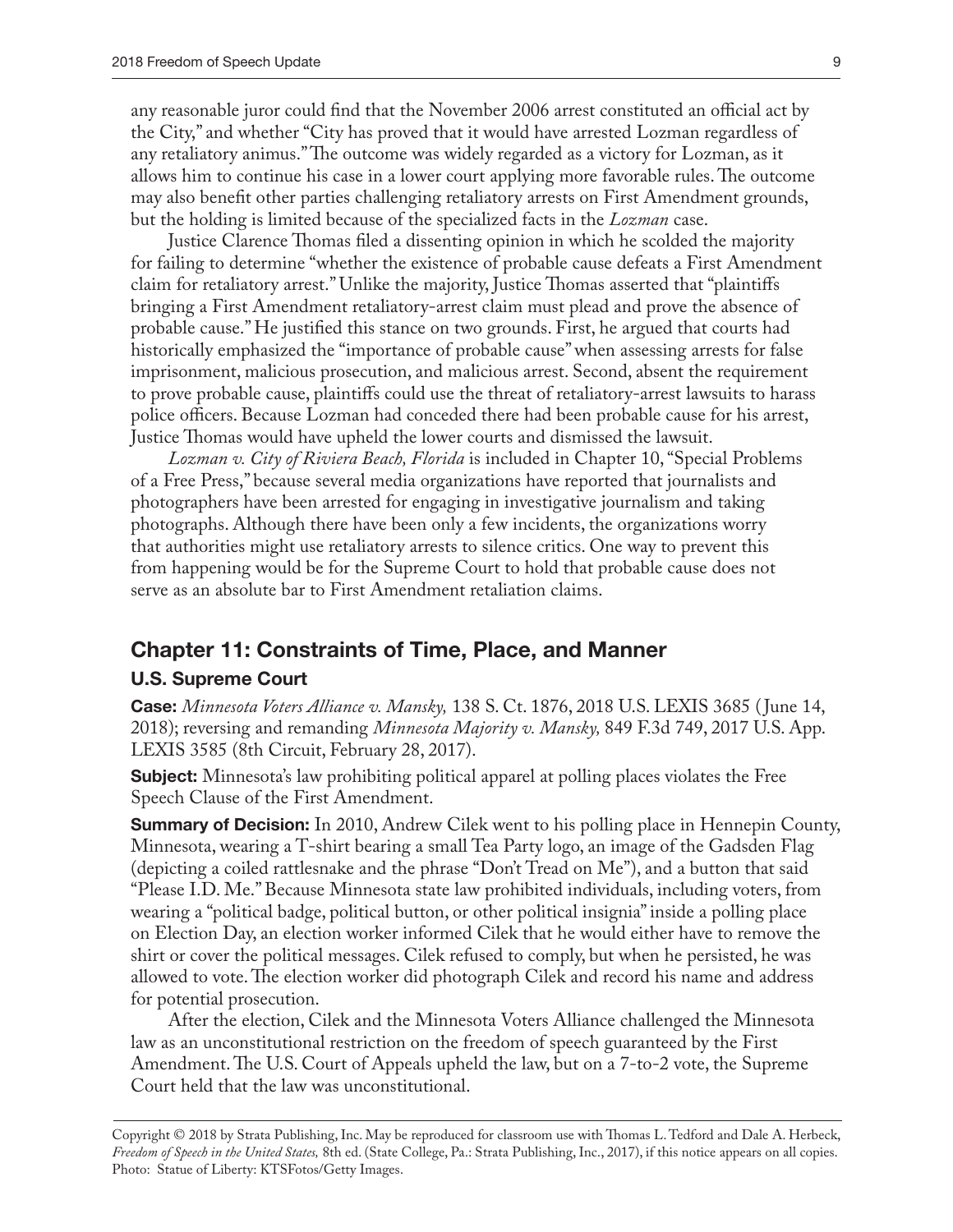any reasonable juror could find that the November 2006 arrest constituted an official act by the City," and whether "City has proved that it would have arrested Lozman regardless of any retaliatory animus." The outcome was widely regarded as a victory for Lozman, as it allows him to continue his case in a lower court applying more favorable rules. The outcome may also benefit other parties challenging retaliatory arrests on First Amendment grounds, but the holding is limited because of the specialized facts in the *Lozman* case.

Justice Clarence Thomas filed a dissenting opinion in which he scolded the majority for failing to determine "whether the existence of probable cause defeats a First Amendment claim for retaliatory arrest." Unlike the majority, Justice Thomas asserted that "plaintiffs bringing a First Amendment retaliatory-arrest claim must plead and prove the absence of probable cause." He justified this stance on two grounds. First, he argued that courts had historically emphasized the "importance of probable cause" when assessing arrests for false imprisonment, malicious prosecution, and malicious arrest. Second, absent the requirement to prove probable cause, plaintiffs could use the threat of retaliatory-arrest lawsuits to harass police officers. Because Lozman had conceded there had been probable cause for his arrest, Justice Thomas would have upheld the lower courts and dismissed the lawsuit.

*Lozman v. City of Riviera Beach, Florida* is included in Chapter 10, "Special Problems of a Free Press," because several media organizations have reported that journalists and photographers have been arrested for engaging in investigative journalism and taking photographs. Although there have been only a few incidents, the organizations worry that authorities might use retaliatory arrests to silence critics. One way to prevent this from happening would be for the Supreme Court to hold that probable cause does not serve as an absolute bar to First Amendment retaliation claims.

### **Chapter 11: Constraints of Time, Place, and Manner**

#### **U.S. Supreme Court**

**Case:** *Minnesota Voters Alliance v. Mansky,* 138 S. Ct. 1876, 2018 U.S. LEXIS 3685 ( June 14, 2018); reversing and remanding *Minnesota Majority v. Mansky,* 849 F.3d 749, 2017 U.S. App. LEXIS 3585 (8th Circuit, February 28, 2017).

**Subject:** Minnesota's law prohibiting political apparel at polling places violates the Free Speech Clause of the First Amendment.

**Summary of Decision:** In 2010, Andrew Cilek went to his polling place in Hennepin County, Minnesota, wearing a T-shirt bearing a small Tea Party logo, an image of the Gadsden Flag (depicting a coiled rattlesnake and the phrase "Don't Tread on Me"), and a button that said "Please I.D. Me." Because Minnesota state law prohibited individuals, including voters, from wearing a "political badge, political button, or other political insignia" inside a polling place on Election Day, an election worker informed Cilek that he would either have to remove the shirt or cover the political messages. Cilek refused to comply, but when he persisted, he was allowed to vote. The election worker did photograph Cilek and record his name and address for potential prosecution.

After the election, Cilek and the Minnesota Voters Alliance challenged the Minnesota law as an unconstitutional restriction on the freedom of speech guaranteed by the First Amendment. The U.S. Court of Appeals upheld the law, but on a 7-to-2 vote, the Supreme Court held that the law was unconstitutional.